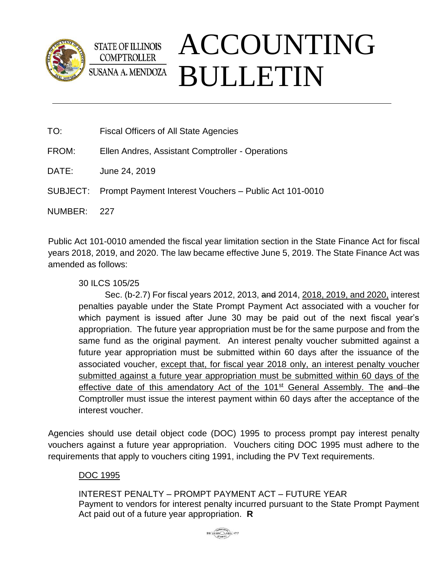

## ACCOUNTING **STATE OF ILLINOIS COMPTROLLER** BULLETIN **SUSANA A. MENDOZA**

- TO: Fiscal Officers of All State Agencies
- FROM: Ellen Andres, Assistant Comptroller Operations
- DATE: June 24, 2019
- SUBJECT: Prompt Payment Interest Vouchers Public Act 101-0010

NUMBER: 227

Public Act 101-0010 amended the fiscal year limitation section in the State Finance Act for fiscal years 2018, 2019, and 2020. The law became effective June 5, 2019. The State Finance Act was amended as follows:

30 ILCS 105/25

Sec. (b-2.7) For fiscal years 2012, 2013, and 2014, 2018, 2019, and 2020, interest penalties payable under the State Prompt Payment Act associated with a voucher for which payment is issued after June 30 may be paid out of the next fiscal year's appropriation. The future year appropriation must be for the same purpose and from the same fund as the original payment. An interest penalty voucher submitted against a future year appropriation must be submitted within 60 days after the issuance of the associated voucher, except that, for fiscal year 2018 only, an interest penalty voucher submitted against a future year appropriation must be submitted within 60 days of the effective date of this amendatory Act of the 101<sup>st</sup> General Assembly. The and the Comptroller must issue the interest payment within 60 days after the acceptance of the interest voucher.

Agencies should use detail object code (DOC) 1995 to process prompt pay interest penalty vouchers against a future year appropriation. Vouchers citing DOC 1995 must adhere to the requirements that apply to vouchers citing 1991, including the PV Text requirements.

## DOC 1995

INTEREST PENALTY – PROMPT PAYMENT ACT – FUTURE YEAR Payment to vendors for interest penalty incurred pursuant to the State Prompt Payment Act paid out of a future year appropriation. **R**